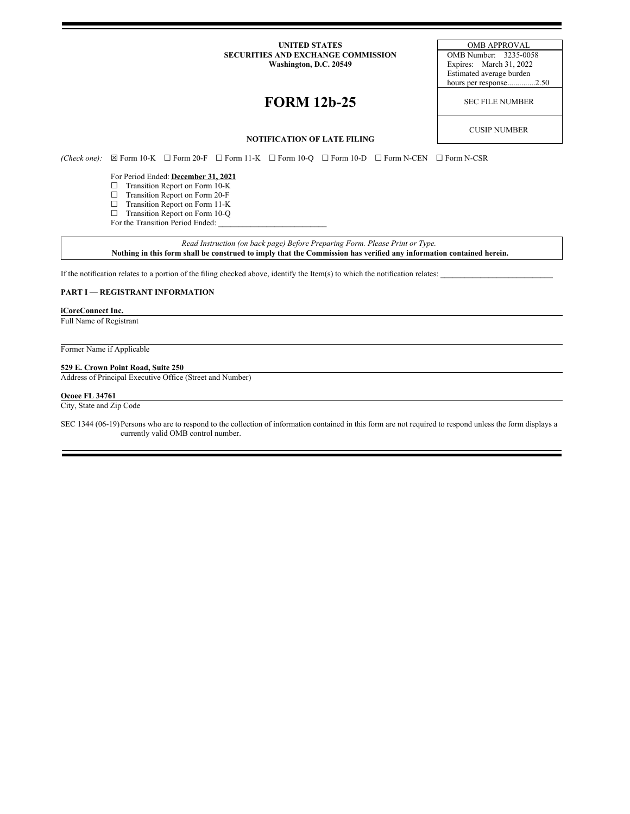#### **UNITED STATES** OMB APPROVAL **SECURITIES AND EXCHANGE COMMISSION** OMB Number: 3235-0058 **Washington, D.C. 20549** Expires: March 31, 2022

# **FORM 12b-25** SEC FILE NUMBER

Estimated average burden hours per response..............2.50

CUSIP NUMBER

## **NOTIFICATION OF LATE FILING**

*(Check one):* ☒ Form 10-K ☐ Form 20-F ☐ Form 11-K ☐ Form 10-Q ☐ Form 10-D ☐ Form N-CEN ☐ Form N-CSR

For Period Ended: **December 31, 2021**

- ☐ Transition Report on Form 10-K
- ☐ Transition Report on Form 20-F
- ☐ Transition Report on Form 11-K
- ☐ Transition Report on Form 10-Q
- For the Transition Period Ended:

*Read Instruction (on back page) Before Preparing Form. Please Print or Type.* Nothing in this form shall be construed to imply that the Commission has verified any information contained herein.

If the notification relates to a portion of the filing checked above, identify the Item(s) to which the notification relates:

## **PART I — REGISTRANT INFORMATION**

#### **iCoreConnect Inc.**

Full Name of Registrant

Former Name if Applicable

## **529 E. Crown Point Road, Suite 250**

Address of Principal Executive Office (Street and Number)

#### **Ocoee FL 34761**

City, State and Zip Code

SEC 1344 (06-19)Persons who are to respond to the collection of information contained in this form are not required to respond unless the form displays a currently valid OMB control number.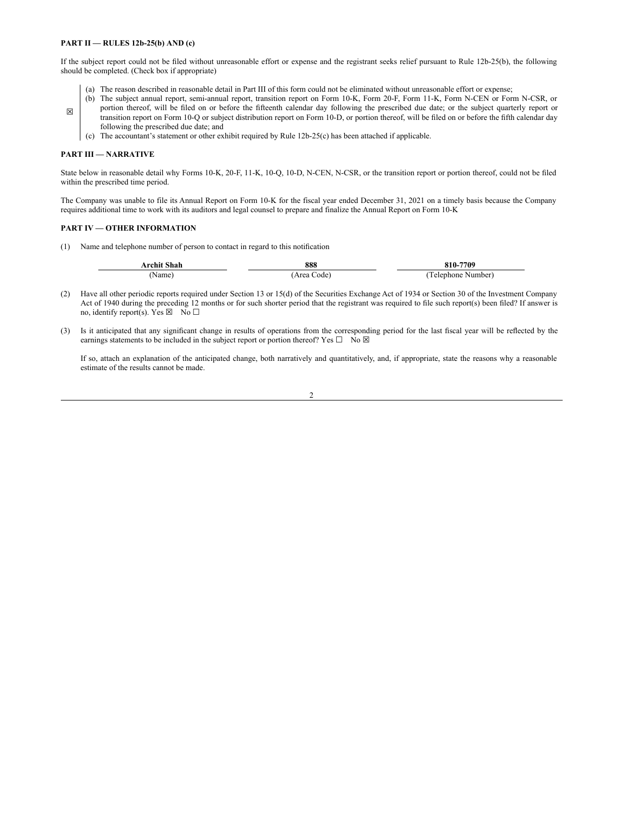#### **PART II — RULES 12b-25(b) AND (c)**

If the subject report could not be filed without unreasonable effort or expense and the registrant seeks relief pursuant to Rule 12b-25(b), the following should be completed. (Check box if appropriate)

- (a) The reason described in reasonable detail in Part III of this form could not be eliminated without unreasonable effort or expense;
- ☒ (b) The subject annual report, semi-annual report, transition report on Form 10-K, Form 20-F, Form 11-K, Form N-CEN or Form N-CSR, or portion thereof, will be filed on or before the fifteenth calendar day following the prescribed due date; or the subject quarterly report or transition report on Form 10-Q or subject distribution report on Form 10-D, or portion thereof, will be filed on or before the fifth calendar day following the prescribed due date; and
	- (c) The accountant's statement or other exhibit required by Rule 12b-25(c) has been attached if applicable.

#### **PART III — NARRATIVE**

State below in reasonable detail why Forms 10-K, 20-F, 11-K, 10-Q, 10-D, N-CEN, N-CSR, or the transition report or portion thereof, could not be filed within the prescribed time period.

The Company was unable to file its Annual Report on Form 10-K for the fiscal year ended December 31, 2021 on a timely basis because the Company requires additional time to work with its auditors and legal counsel to prepare and finalize the Annual Report on Form 10-K

#### **PART IV — OTHER INFORMATION**

(1) Name and telephone number of person to contact in regard to this notification

| <b>\rchit Shah</b> | 888           | 810-7709              |
|--------------------|---------------|-----------------------|
| √ame               | Area<br>`ode' | relenhone.<br>Number) |

- (2) Have all other periodic reports required under Section 13 or 15(d) of the Securities Exchange Act of 1934 or Section 30 of the Investment Company Act of 1940 during the preceding 12 months or for such shorter period that the registrant was required to file such report(s) been filed? If answer is no, identify report(s). Yes  $\boxtimes$  No  $\Box$
- (3) Is it anticipated that any significant change in results of operations from the corresponding period for the last fiscal year will be reflected by the earnings statements to be included in the subject report or portion thereof? Yes  $\Box$  No  $\boxtimes$

If so, attach an explanation of the anticipated change, both narratively and quantitatively, and, if appropriate, state the reasons why a reasonable estimate of the results cannot be made.